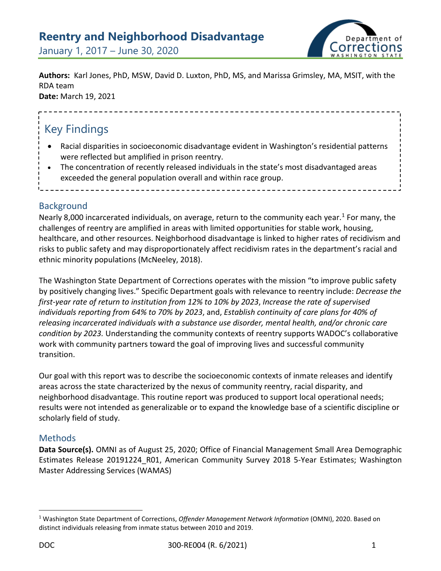# **Reentry and Neighborhood Disadvantage**

January 1, 2017 – June 30, 2020



**Authors:** Karl Jones, PhD, MSW, David D. Luxton, PhD, MS, and Marissa Grimsley, MA, MSIT, with the RDA team

------------------------------

\_\_\_\_\_\_\_\_\_\_\_\_\_\_\_\_\_\_\_\_\_\_\_\_\_\_\_\_\_\_\_\_\_\_\_\_\_\_

**Date:** March 19, 2021

# Key Findings

- Racial disparities in socioeconomic disadvantage evident in Washington's residential patterns were reflected but amplified in prison reentry.
- The concentration of recently released individuals in the state's most disadvantaged areas exceeded the general population overall and within race group.

# **Background**

Nearly 8,000 incarcerated individuals, on average, return to the community each year.<sup>[1](#page-0-0)</sup> For many, the challenges of reentry are amplified in areas with limited opportunities for stable work, housing, healthcare, and other resources. Neighborhood disadvantage is linked to higher rates of recidivism and risks to public safety and may disproportionately affect recidivism rates in the department's racial and ethnic minority populations (McNeeley, 2018).

The Washington State Department of Corrections operates with the mission "to improve public safety by positively changing lives." Specific Department goals with relevance to reentry include: *Decrease the first-year rate of return to institution from 12% to 10% by 2023*, *Increase the rate of supervised individuals reporting from 64% to 70% by 2023*, and, *Establish continuity of care plans for 40% of releasing incarcerated individuals with a substance use disorder, mental health, and/or chronic care condition by 2023.* Understanding the community contexts of reentry supports WADOC's collaborative work with community partners toward the goal of improving lives and successful community transition.

Our goal with this report was to describe the socioeconomic contexts of inmate releases and identify areas across the state characterized by the nexus of community reentry, racial disparity, and neighborhood disadvantage. This routine report was produced to support local operational needs; results were not intended as generalizable or to expand the knowledge base of a scientific discipline or scholarly field of study.

# **Methods**

**Data Source(s).** OMNI as of August 25, 2020; Office of Financial Management Small Area Demographic Estimates Release 20191224 R01, American Community Survey 2018 5-Year Estimates; Washington Master Addressing Services (WAMAS)

<span id="page-0-0"></span><sup>1</sup> Washington State Department of Corrections, *Offender Management Network Information* (OMNI), 2020. Based on distinct individuals releasing from inmate status between 2010 and 2019.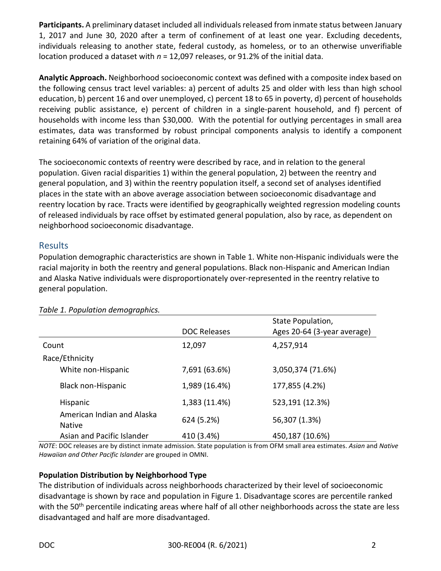**Participants.** A preliminary dataset included all individuals released from inmate status between January 1, 2017 and June 30, 2020 after a term of confinement of at least one year. Excluding decedents, individuals releasing to another state, federal custody, as homeless, or to an otherwise unverifiable location produced a dataset with *n* = 12,097 releases, or 91.2% of the initial data.

**Analytic Approach.** Neighborhood socioeconomic context was defined with a composite index based on the following census tract level variables: a) percent of adults 25 and older with less than high school education, b) percent 16 and over unemployed, c) percent 18 to 65 in poverty, d) percent of households receiving public assistance, e) percent of children in a single-parent household, and f) percent of households with income less than \$30,000. With the potential for outlying percentages in small area estimates, data was transformed by robust principal components analysis to identify a component retaining 64% of variation of the original data.

The socioeconomic contexts of reentry were described by race, and in relation to the general population. Given racial disparities 1) within the general population, 2) between the reentry and general population, and 3) within the reentry population itself, a second set of analyses identified places in the state with an above average association between socioeconomic disadvantage and reentry location by race. Tracts were identified by geographically weighted regression modeling counts of released individuals by race offset by estimated general population, also by race, as dependent on neighborhood socioeconomic disadvantage.

## Results

Population demographic characteristics are shown in Table 1. White non-Hispanic individuals were the racial majority in both the reentry and general populations. Black non-Hispanic and American Indian and Alaska Native individuals were disproportionately over-represented in the reentry relative to general population.

|                                             | <b>DOC Releases</b> | State Population,<br>Ages 20-64 (3-year average) |
|---------------------------------------------|---------------------|--------------------------------------------------|
| Count                                       | 12,097              | 4,257,914                                        |
| Race/Ethnicity                              |                     |                                                  |
| White non-Hispanic                          | 7,691 (63.6%)       | 3,050,374 (71.6%)                                |
| <b>Black non-Hispanic</b>                   | 1,989 (16.4%)       | 177,855 (4.2%)                                   |
| Hispanic                                    | 1,383 (11.4%)       | 523,191 (12.3%)                                  |
| American Indian and Alaska<br><b>Native</b> | 624 (5.2%)          | 56,307 (1.3%)                                    |
| Asian and Pacific Islander                  | 410 (3.4%)          | 450,187 (10.6%)                                  |

*Table 1. Population demographics.*

*NOTE*: DOC releases are by distinct inmate admission. State population is from OFM small area estimates. *Asian* and *Native Hawaiian and Other Pacific Islander* are grouped in OMNI.

## **Population Distribution by Neighborhood Type**

The distribution of individuals across neighborhoods characterized by their level of socioeconomic disadvantage is shown by race and population in Figure 1. Disadvantage scores are percentile ranked with the 50<sup>th</sup> percentile indicating areas where half of all other neighborhoods across the state are less disadvantaged and half are more disadvantaged.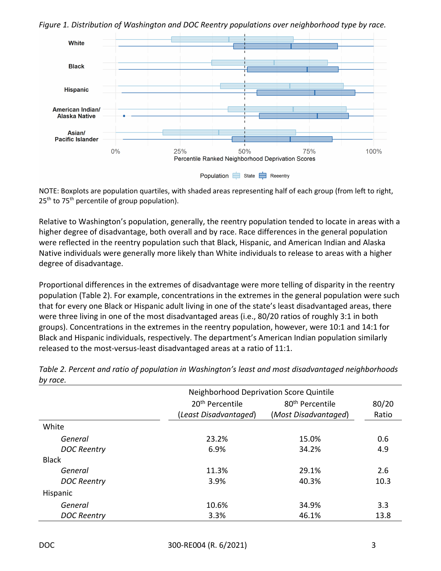*Figure 1. Distribution of Washington and DOC Reentry populations over neighborhood type by race.* 



NOTE: Boxplots are population quartiles, with shaded areas representing half of each group (from left to right, 25<sup>th</sup> to 75<sup>th</sup> percentile of group population).

Relative to Washington's population, generally, the reentry population tended to locate in areas with a higher degree of disadvantage, both overall and by race. Race differences in the general population were reflected in the reentry population such that Black, Hispanic, and American Indian and Alaska Native individuals were generally more likely than White individuals to release to areas with a higher degree of disadvantage.

Proportional differences in the extremes of disadvantage were more telling of disparity in the reentry population (Table 2). For example, concentrations in the extremes in the general population were such that for every one Black or Hispanic adult living in one of the state's least disadvantaged areas, there were three living in one of the most disadvantaged areas (i.e., 80/20 ratios of roughly 3:1 in both groups). Concentrations in the extremes in the reentry population, however, were 10:1 and 14:1 for Black and Hispanic individuals, respectively. The department's American Indian population similarly released to the most-versus-least disadvantaged areas at a ratio of 11:1.

|                    |                             | Neighborhood Deprivation Score Quintile |       |  |
|--------------------|-----------------------------|-----------------------------------------|-------|--|
|                    | 20 <sup>th</sup> Percentile | 80 <sup>th</sup> Percentile             | 80/20 |  |
|                    | (Least Disadvantaged)       | (Most Disadvantaged)                    | Ratio |  |
| White              |                             |                                         |       |  |
| General            | 23.2%                       | 15.0%                                   | 0.6   |  |
| <b>DOC Reentry</b> | 6.9%                        | 34.2%                                   | 4.9   |  |
| <b>Black</b>       |                             |                                         |       |  |
| General            | 11.3%                       | 29.1%                                   | 2.6   |  |
| <b>DOC Reentry</b> | 3.9%                        | 40.3%                                   | 10.3  |  |
| Hispanic           |                             |                                         |       |  |
| General            | 10.6%                       | 34.9%                                   | 3.3   |  |
| <b>DOC Reentry</b> | 3.3%                        | 46.1%                                   | 13.8  |  |

*Table 2. Percent and ratio of population in Washington's least and most disadvantaged neighborhoods by race.*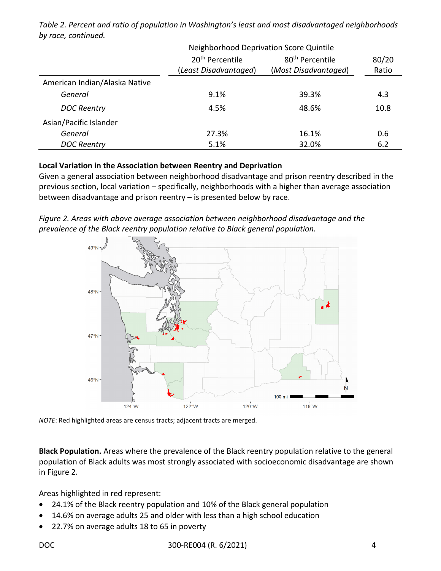|                               | Neighborhood Deprivation Score Quintile |                             |       |
|-------------------------------|-----------------------------------------|-----------------------------|-------|
|                               | 20 <sup>th</sup> Percentile             | 80 <sup>th</sup> Percentile | 80/20 |
|                               | (Least Disadvantaged)                   | (Most Disadvantaged)        | Ratio |
| American Indian/Alaska Native |                                         |                             |       |
| General                       | 9.1%                                    | 39.3%                       | 4.3   |
| <b>DOC Reentry</b>            | 4.5%                                    | 48.6%                       | 10.8  |
| Asian/Pacific Islander        |                                         |                             |       |
| General                       | 27.3%                                   | 16.1%                       | 0.6   |
| <b>DOC Reentry</b>            | 5.1%                                    | 32.0%                       | 6.2   |

*Table 2. Percent and ratio of population in Washington's least and most disadvantaged neighborhoods by race, continued.*

#### **Local Variation in the Association between Reentry and Deprivation**

Given a general association between neighborhood disadvantage and prison reentry described in the previous section, local variation – specifically, neighborhoods with a higher than average association between disadvantage and prison reentry – is presented below by race.

*Figure 2. Areas with above average association between neighborhood disadvantage and the prevalence of the Black reentry population relative to Black general population.*



*NOTE*: Red highlighted areas are census tracts; adjacent tracts are merged.

**Black Population.** Areas where the prevalence of the Black reentry population relative to the general population of Black adults was most strongly associated with socioeconomic disadvantage are shown in Figure 2.

Areas highlighted in red represent:

- 24.1% of the Black reentry population and 10% of the Black general population
- 14.6% on average adults 25 and older with less than a high school education
- 22.7% on average adults 18 to 65 in poverty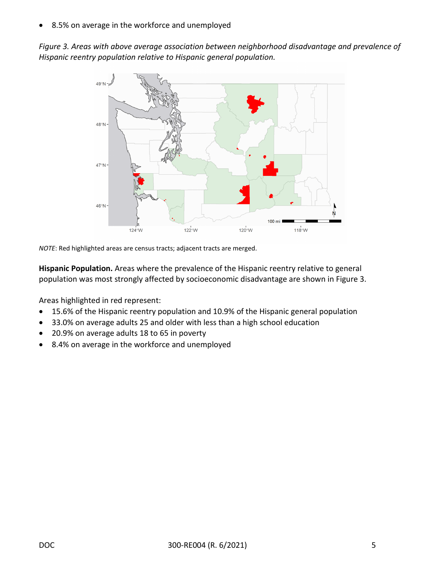8.5% on average in the workforce and unemployed

*Figure 3. Areas with above average association between neighborhood disadvantage and prevalence of Hispanic reentry population relative to Hispanic general population.*



*NOTE*: Red highlighted areas are census tracts; adjacent tracts are merged.

**Hispanic Population.** Areas where the prevalence of the Hispanic reentry relative to general population was most strongly affected by socioeconomic disadvantage are shown in Figure 3.

Areas highlighted in red represent:

- 15.6% of the Hispanic reentry population and 10.9% of the Hispanic general population
- 33.0% on average adults 25 and older with less than a high school education
- 20.9% on average adults 18 to 65 in poverty
- 8.4% on average in the workforce and unemployed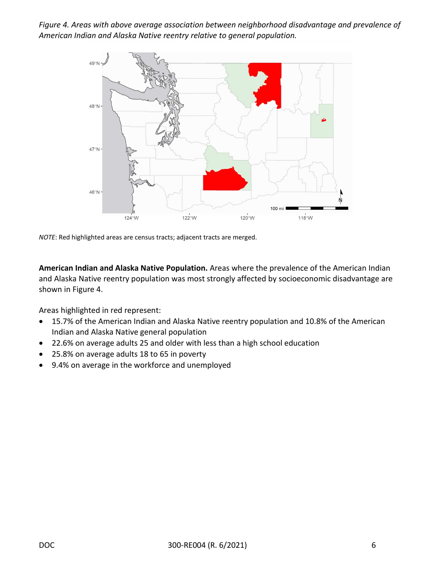*Figure 4. Areas with above average association between neighborhood disadvantage and prevalence of American Indian and Alaska Native reentry relative to general population.*



*NOTE*: Red highlighted areas are census tracts; adjacent tracts are merged.

**American Indian and Alaska Native Population.** Areas where the prevalence of the American Indian and Alaska Native reentry population was most strongly affected by socioeconomic disadvantage are shown in Figure 4.

Areas highlighted in red represent:

- 15.7% of the American Indian and Alaska Native reentry population and 10.8% of the American Indian and Alaska Native general population
- 22.6% on average adults 25 and older with less than a high school education
- 25.8% on average adults 18 to 65 in poverty
- 9.4% on average in the workforce and unemployed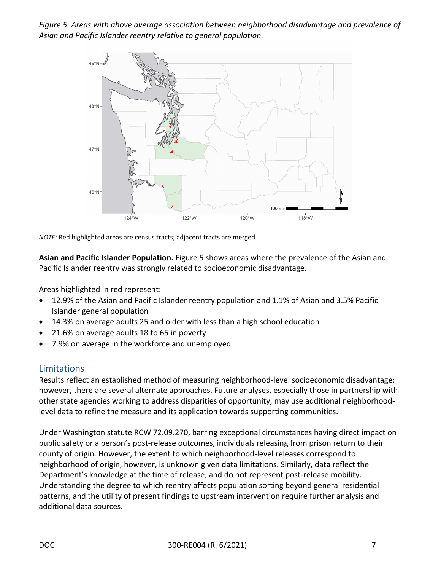*Figure 5. Areas with above average association between neighborhood disadvantage and prevalence of Asian and Pacific Islander reentry relative to general population.*



*NOTE*: Red highlighted areas are census tracts; adjacent tracts are merged.

**Asian and Pacific Islander Population.** Figure 5 shows areas where the prevalence of the Asian and Pacific Islander reentry was strongly related to socioeconomic disadvantage.

Areas highlighted in red represent:

- 12.9% of the Asian and Pacific Islander reentry population and 1.1% of Asian and 3.5% Pacific Islander general population
- 14.3% on average adults 25 and older with less than a high school education
- 21.6% on average adults 18 to 65 in poverty
- 7.9% on average in the workforce and unemployed

#### Limitations

Results reflect an established method of measuring neighborhood-level socioeconomic disadvantage; however, there are several alternate approaches. Future analyses, especially those in partnership with other state agencies working to address disparities of opportunity, may use additional neighborhoodlevel data to refine the measure and its application towards supporting communities.

Under Washington statute RCW 72.09.270, barring exceptional circumstances having direct impact on public safety or a person's post-release outcomes, individuals releasing from prison return to their county of origin. However, the extent to which neighborhood-level releases correspond to neighborhood of origin, however, is unknown given data limitations. Similarly, data reflect the Department's knowledge at the time of release, and do not represent post-release mobility. Understanding the degree to which reentry affects population sorting beyond general residential patterns, and the utility of present findings to upstream intervention require further analysis and additional data sources.